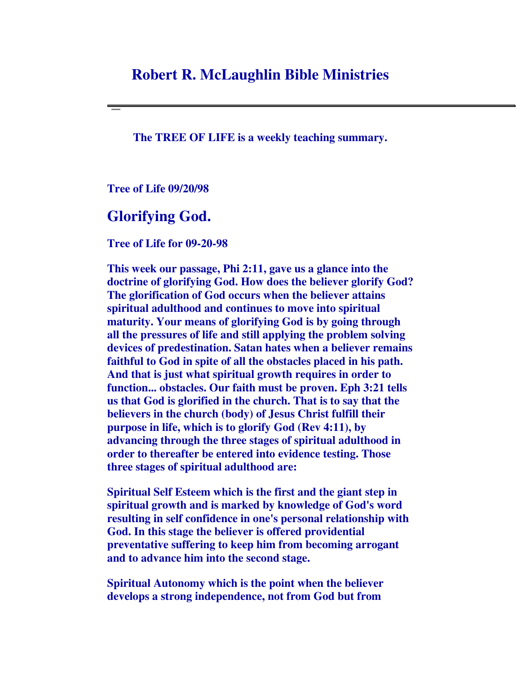## **Robert R. McLaughlin Bible Ministries**

**The TREE OF LIFE is a weekly teaching summary.**

**Tree of Life 09/20/98**

## **Glorifying God.**

**Tree of Life for 09-20-98**

**This week our passage, Phi 2:11, gave us a glance into the doctrine of glorifying God. How does the believer glorify God? The glorification of God occurs when the believer attains spiritual adulthood and continues to move into spiritual maturity. Your means of glorifying God is by going through all the pressures of life and still applying the problem solving devices of predestination. Satan hates when a believer remains faithful to God in spite of all the obstacles placed in his path. And that is just what spiritual growth requires in order to function... obstacles. Our faith must be proven. Eph 3:21 tells us that God is glorified in the church. That is to say that the believers in the church (body) of Jesus Christ fulfill their purpose in life, which is to glorify God (Rev 4:11), by advancing through the three stages of spiritual adulthood in order to thereafter be entered into evidence testing. Those three stages of spiritual adulthood are:**

**Spiritual Self Esteem which is the first and the giant step in spiritual growth and is marked by knowledge of God's word resulting in self confidence in one's personal relationship with God. In this stage the believer is offered providential preventative suffering to keep him from becoming arrogant and to advance him into the second stage.**

**Spiritual Autonomy which is the point when the believer develops a strong independence, not from God but from**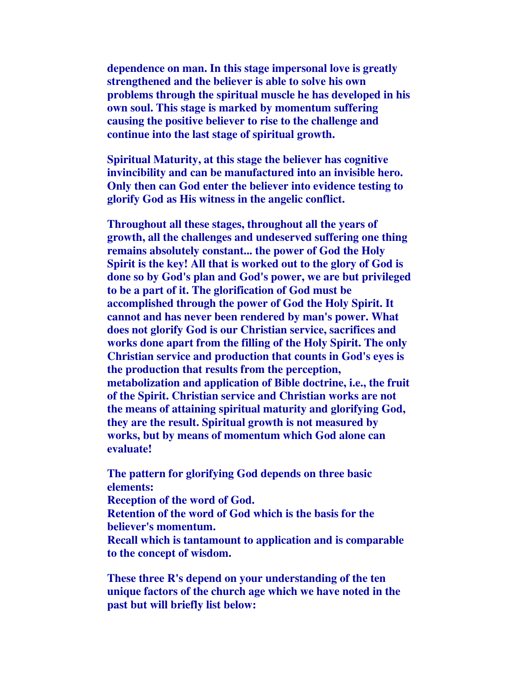**dependence on man. In this stage impersonal love is greatly strengthened and the believer is able to solve his own problems through the spiritual muscle he has developed in his own soul. This stage is marked by momentum suffering causing the positive believer to rise to the challenge and continue into the last stage of spiritual growth.**

**Spiritual Maturity, at this stage the believer has cognitive invincibility and can be manufactured into an invisible hero. Only then can God enter the believer into evidence testing to glorify God as His witness in the angelic conflict.**

**Throughout all these stages, throughout all the years of growth, all the challenges and undeserved suffering one thing remains absolutely constant... the power of God the Holy Spirit is the key! All that is worked out to the glory of God is done so by God's plan and God's power, we are but privileged to be a part of it. The glorification of God must be accomplished through the power of God the Holy Spirit. It cannot and has never been rendered by man's power. What does not glorify God is our Christian service, sacrifices and works done apart from the filling of the Holy Spirit. The only Christian service and production that counts in God's eyes is the production that results from the perception, metabolization and application of Bible doctrine, i.e., the fruit of the Spirit. Christian service and Christian works are not the means of attaining spiritual maturity and glorifying God, they are the result. Spiritual growth is not measured by works, but by means of momentum which God alone can evaluate!**

**The pattern for glorifying God depends on three basic elements: Reception of the word of God. Retention of the word of God which is the basis for the believer's momentum. Recall which is tantamount to application and is comparable**

**to the concept of wisdom.**

**These three R's depend on your understanding of the ten unique factors of the church age which we have noted in the past but will briefly list below:**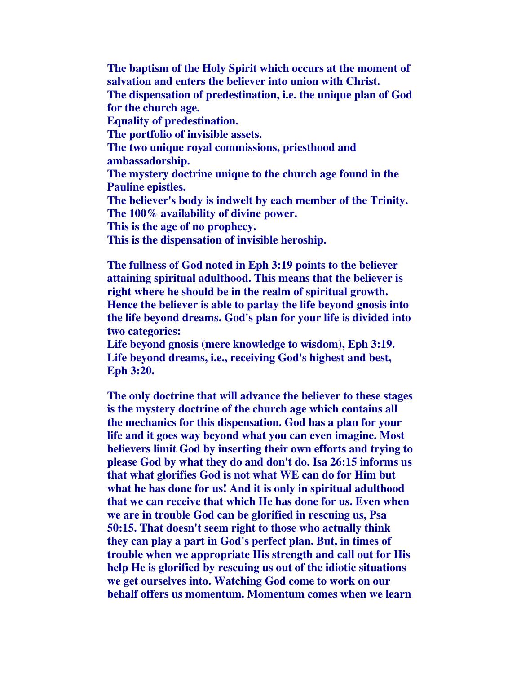**The baptism of the Holy Spirit which occurs at the moment of salvation and enters the believer into union with Christ. The dispensation of predestination, i.e. the unique plan of God for the church age. Equality of predestination. The portfolio of invisible assets. The two unique royal commissions, priesthood and ambassadorship. The mystery doctrine unique to the church age found in the Pauline epistles. The believer's body is indwelt by each member of the Trinity. The 100% availability of divine power. This is the age of no prophecy. This is the dispensation of invisible heroship.**

**The fullness of God noted in Eph 3:19 points to the believer attaining spiritual adulthood. This means that the believer is right where he should be in the realm of spiritual growth. Hence the believer is able to parlay the life beyond gnosis into the life beyond dreams. God's plan for your life is divided into two categories:**

**Life beyond gnosis (mere knowledge to wisdom), Eph 3:19. Life beyond dreams, i.e., receiving God's highest and best, Eph 3:20.**

**The only doctrine that will advance the believer to these stages is the mystery doctrine of the church age which contains all the mechanics for this dispensation. God has a plan for your life and it goes way beyond what you can even imagine. Most believers limit God by inserting their own efforts and trying to please God by what they do and don't do. Isa 26:15 informs us that what glorifies God is not what WE can do for Him but what he has done for us! And it is only in spiritual adulthood that we can receive that which He has done for us. Even when we are in trouble God can be glorified in rescuing us, Psa 50:15. That doesn't seem right to those who actually think they can play a part in God's perfect plan. But, in times of trouble when we appropriate His strength and call out for His help He is glorified by rescuing us out of the idiotic situations we get ourselves into. Watching God come to work on our behalf offers us momentum. Momentum comes when we learn**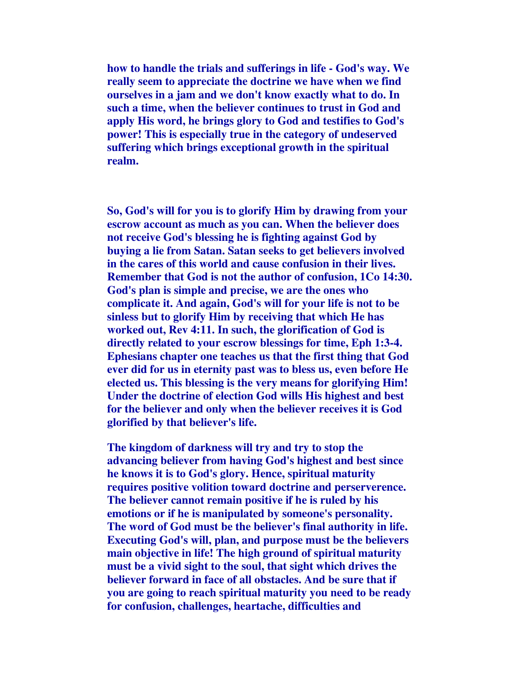**how to handle the trials and sufferings in life - God's way. We really seem to appreciate the doctrine we have when we find ourselves in a jam and we don't know exactly what to do. In such a time, when the believer continues to trust in God and apply His word, he brings glory to God and testifies to God's power! This is especially true in the category of undeserved suffering which brings exceptional growth in the spiritual realm.**

**So, God's will for you is to glorify Him by drawing from your escrow account as much as you can. When the believer does not receive God's blessing he is fighting against God by buying a lie from Satan. Satan seeks to get believers involved in the cares of this world and cause confusion in their lives. Remember that God is not the author of confusion, 1Co 14:30. God's plan is simple and precise, we are the ones who complicate it. And again, God's will for your life is not to be sinless but to glorify Him by receiving that which He has worked out, Rev 4:11. In such, the glorification of God is directly related to your escrow blessings for time, Eph 1:3-4. Ephesians chapter one teaches us that the first thing that God ever did for us in eternity past was to bless us, even before He elected us. This blessing is the very means for glorifying Him! Under the doctrine of election God wills His highest and best for the believer and only when the believer receives it is God glorified by that believer's life.**

**The kingdom of darkness will try and try to stop the advancing believer from having God's highest and best since he knows it is to God's glory. Hence, spiritual maturity requires positive volition toward doctrine and perserverence. The believer cannot remain positive if he is ruled by his emotions or if he is manipulated by someone's personality. The word of God must be the believer's final authority in life. Executing God's will, plan, and purpose must be the believers main objective in life! The high ground of spiritual maturity must be a vivid sight to the soul, that sight which drives the believer forward in face of all obstacles. And be sure that if you are going to reach spiritual maturity you need to be ready for confusion, challenges, heartache, difficulties and**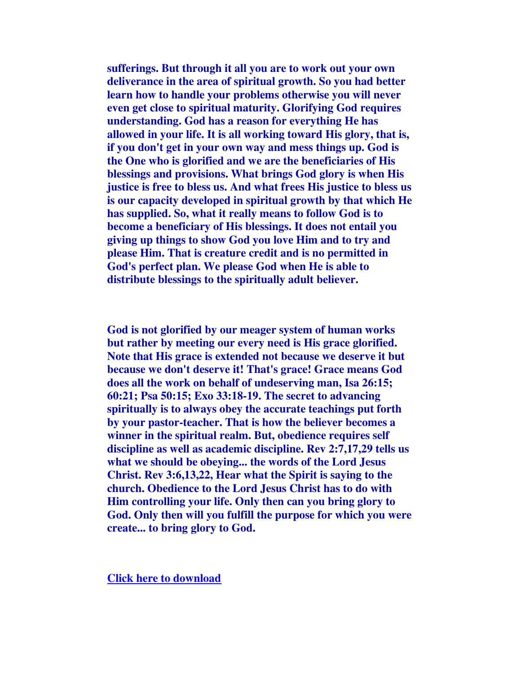**sufferings. But through it all you are to work out your own deliverance in the area of spiritual growth. So you had better learn how to handle your problems otherwise you will never even get close to spiritual maturity. Glorifying God requires understanding. God has a reason for everything He has allowed in your life. It is all working toward His glory, that is, if you don't get in your own way and mess things up. God is the One who is glorified and we are the beneficiaries of His blessings and provisions. What brings God glory is when His justice is free to bless us. And what frees His justice to bless us is our capacity developed in spiritual growth by that which He has supplied. So, what it really means to follow God is to become a beneficiary of His blessings. It does not entail you giving up things to show God you love Him and to try and please Him. That is creature credit and is no permitted in God's perfect plan. We please God when He is able to distribute blessings to the spiritually adult believer.**

**God is not glorified by our meager system of human works but rather by meeting our every need is His grace glorified. Note that His grace is extended not because we deserve it but because we don't deserve it! That's grace! Grace means God does all the work on behalf of undeserving man, Isa 26:15; 60:21; Psa 50:15; Exo 33:18-19. The secret to advancing spiritually is to always obey the accurate teachings put forth by your pastor-teacher. That is how the believer becomes a winner in the spiritual realm. But, obedience requires self discipline as well as academic discipline. Rev 2:7,17,29 tells us what we should be obeying... the words of the Lord Jesus Christ. Rev 3:6,13,22, Hear what the Spirit is saying to the church. Obedience to the Lord Jesus Christ has to do with Him controlling your life. Only then can you bring glory to God. Only then will you fulfill the purpose for which you were create... to bring glory to God.**

**Click here to download**